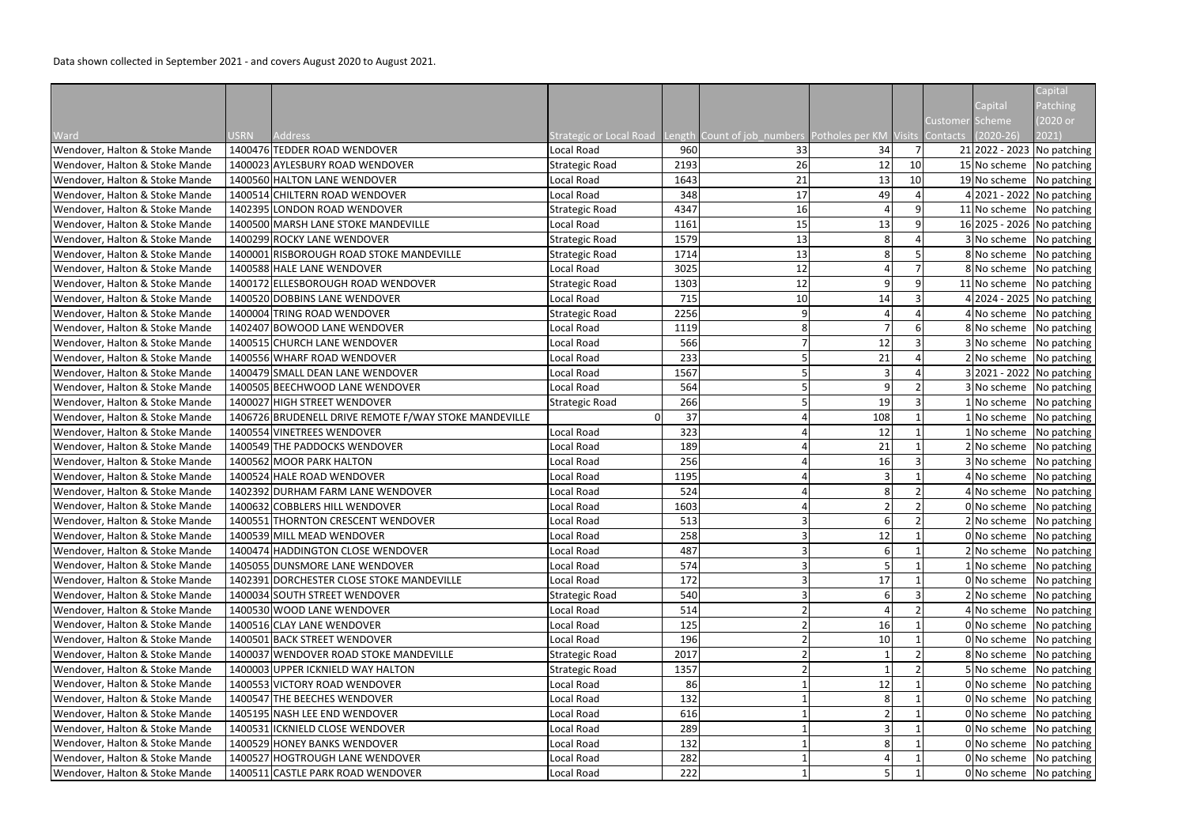Data shown collected in September 2021 - and covers August 2020 to August 2021.

|                                |                                                       |                           |      |                                                            |     |    |                        |              | Capital                     |
|--------------------------------|-------------------------------------------------------|---------------------------|------|------------------------------------------------------------|-----|----|------------------------|--------------|-----------------------------|
|                                |                                                       |                           |      |                                                            |     |    |                        | Capital      | Patching                    |
|                                |                                                       |                           |      |                                                            |     |    | <b>Customer Scheme</b> |              | 2020 or                     |
| Ward                           | <b>Address</b><br><b>JSRN</b>                         | Strategic or Local Road I |      | ength Count of job_numbers Potholes per KM Visits Contacts |     |    |                        | $(2020-26)$  | 2021)                       |
| Wendover, Halton & Stoke Mande | 1400476 TEDDER ROAD WENDOVER                          | Local Road                | 960  | 33                                                         | 34  |    |                        |              | 21 2022 - 2023 No patching  |
| Wendover, Halton & Stoke Mande | 1400023 AYLESBURY ROAD WENDOVER                       | Strategic Road            | 2193 | 26                                                         | 12  | 10 |                        | 15 No scheme | No patching                 |
| Wendover, Halton & Stoke Mande | 1400560 HALTON LANE WENDOVER                          | Local Road                | 1643 | 21                                                         | 13  | 10 |                        |              | 19 No scheme No patching    |
| Wendover, Halton & Stoke Mande | 1400514 CHILTERN ROAD WENDOVER                        | Local Road                | 348  | 17                                                         | 49  |    |                        |              | 4 2021 - 2022 No patching   |
| Wendover, Halton & Stoke Mande | 1402395 LONDON ROAD WENDOVER                          | <b>Strategic Road</b>     | 4347 | 16                                                         |     | 9  |                        |              | 11 No scheme No patching    |
| Wendover, Halton & Stoke Mande | 1400500 MARSH LANE STOKE MANDEVILLE                   | Local Road                | 1161 | 15                                                         | 13  | q  |                        |              | 16 2025 - 2026 No patching  |
| Wendover, Halton & Stoke Mande | 1400299 ROCKY LANE WENDOVER                           | <b>Strategic Road</b>     | 1579 | 13                                                         |     |    |                        |              | 3 No scheme   No patching   |
| Wendover, Halton & Stoke Mande | 1400001 RISBOROUGH ROAD STOKE MANDEVILLE              | Strategic Road            | 1714 | 13                                                         |     |    |                        | 8 No scheme  | No patching                 |
| Wendover, Halton & Stoke Mande | 1400588 HALE LANE WENDOVER                            | Local Road                | 3025 | 12                                                         |     |    |                        | 8 No scheme  | No patching                 |
| Wendover, Halton & Stoke Mande | 1400172 ELLESBOROUGH ROAD WENDOVER                    | <b>Strategic Road</b>     | 1303 | 12                                                         |     | 9  |                        | 11 No scheme | No patching                 |
| Wendover, Halton & Stoke Mande | 1400520 DOBBINS LANE WENDOVER                         | Local Road                | 715  | 10                                                         | 14  |    |                        |              | 2024 - 2025   No patching   |
| Wendover, Halton & Stoke Mande | 1400004 TRING ROAD WENDOVER                           | <b>Strategic Road</b>     | 2256 | q                                                          |     |    |                        | 4 No scheme  | No patching                 |
| Wendover, Halton & Stoke Mande | 1402407 BOWOOD LANE WENDOVER                          | Local Road                | 1119 | 8                                                          |     | 6  |                        | 8 No scheme  | No patching                 |
| Wendover, Halton & Stoke Mande | 1400515 CHURCH LANE WENDOVER                          | Local Road                | 566  |                                                            | 12  |    |                        | 3 No scheme  | No patching                 |
| Wendover, Halton & Stoke Mande | 1400556 WHARF ROAD WENDOVER                           | Local Road                | 233  |                                                            | 21  |    |                        | 2 No scheme  | No patching                 |
| Wendover, Halton & Stoke Mande | 1400479 SMALL DEAN LANE WENDOVER                      | Local Road                | 1567 |                                                            |     |    |                        |              | 3 2021 - 2022   No patching |
| Wendover, Halton & Stoke Mande | 1400505 BEECHWOOD LANE WENDOVER                       | Local Road                | 564  |                                                            |     |    |                        | 3 No scheme  | No patching                 |
| Wendover, Halton & Stoke Mande | 1400027 HIGH STREET WENDOVER                          | <b>Strategic Road</b>     | 266  |                                                            | 19  |    |                        | 1 No scheme  | No patching                 |
| Wendover, Halton & Stoke Mande | 1406726 BRUDENELL DRIVE REMOTE F/WAY STOKE MANDEVILLE | <sup>0</sup>              | 37   |                                                            | 108 |    |                        | 1 No scheme  | No patching                 |
| Wendover, Halton & Stoke Mande | 1400554 VINETREES WENDOVER                            | Local Road                | 323  |                                                            | 12  |    |                        | 1 No scheme  | No patching                 |
| Wendover, Halton & Stoke Mande | 1400549 THE PADDOCKS WENDOVER                         | Local Road                | 189  |                                                            | 21  |    |                        | 2 No scheme  | No patching                 |
| Wendover, Halton & Stoke Mande | 1400562 MOOR PARK HALTON                              | Local Road                | 256  |                                                            | 16  |    |                        | 3 No scheme  | No patching                 |
| Wendover, Halton & Stoke Mande | 1400524 HALE ROAD WENDOVER                            | Local Road                | 1195 |                                                            |     |    |                        | 4 No scheme  | No patching                 |
| Wendover, Halton & Stoke Mande | 1402392 DURHAM FARM LANE WENDOVER                     | Local Road                | 524  |                                                            |     |    |                        | 4 No scheme  | No patching                 |
| Wendover, Halton & Stoke Mande | 1400632 COBBLERS HILL WENDOVER                        | Local Road                | 1603 |                                                            |     |    |                        | 0 No scheme  | No patching                 |
| Wendover, Halton & Stoke Mande | 1400551 THORNTON CRESCENT WENDOVER                    | Local Road                | 513  |                                                            |     |    |                        |              | 2 No scheme No patching     |
| Wendover, Halton & Stoke Mande | 1400539 MILL MEAD WENDOVER                            | Local Road                | 258  | 3                                                          | 12  |    |                        | 0 No scheme  | No patching                 |
| Wendover, Halton & Stoke Mande | 1400474 HADDINGTON CLOSE WENDOVER                     | Local Road                | 487  |                                                            |     |    |                        | 2 No scheme  | No patching                 |
| Wendover, Halton & Stoke Mande | 1405055 DUNSMORE LANE WENDOVER                        | Local Road                | 574  |                                                            |     |    |                        | 1 No scheme  | No patching                 |
| Wendover, Halton & Stoke Mande | 1402391 DORCHESTER CLOSE STOKE MANDEVILLE             | Local Road                | 172  |                                                            | 17  |    |                        | 0 No scheme  | No patching                 |
| Wendover, Halton & Stoke Mande | 1400034 SOUTH STREET WENDOVER                         | <b>Strategic Road</b>     | 540  |                                                            |     |    |                        | 2 No scheme  | No patching                 |
| Wendover, Halton & Stoke Mande | 1400530 WOOD LANE WENDOVER                            | Local Road                | 514  |                                                            |     |    |                        | 4 No scheme  | No patching                 |
| Wendover, Halton & Stoke Mande | 1400516 CLAY LANE WENDOVER                            | Local Road                | 125  |                                                            | 16  |    |                        | 0 No scheme  | No patching                 |
| Wendover, Halton & Stoke Mande | 1400501 BACK STREET WENDOVER                          | Local Road                | 196  |                                                            | 10  |    |                        | 0 No scheme  | No patching                 |
| Wendover, Halton & Stoke Mande | 1400037 WENDOVER ROAD STOKE MANDEVILLE                | Strategic Road            | 2017 |                                                            |     |    |                        | 8 No scheme  | No patching                 |
| Wendover, Halton & Stoke Mande | 1400003 UPPER ICKNIELD WAY HALTON                     | <b>Strategic Road</b>     | 1357 |                                                            |     |    |                        | 5 No scheme  | No patching                 |
| Wendover, Halton & Stoke Mande | 1400553 VICTORY ROAD WENDOVER                         | Local Road                | 86   |                                                            | 12  |    |                        | 0 No scheme  | No patching                 |
| Wendover, Halton & Stoke Mande | 1400547 THE BEECHES WENDOVER                          | Local Road                | 132  |                                                            |     |    |                        | 0 No scheme  | No patching                 |
| Wendover, Halton & Stoke Mande | 1405195 NASH LEE END WENDOVER                         | Local Road                | 616  |                                                            |     |    |                        | 0 No scheme  | No patching                 |
| Wendover, Halton & Stoke Mande | 1400531 ICKNIELD CLOSE WENDOVER                       | Local Road                | 289  |                                                            |     |    |                        | 0 No scheme  | No patching                 |
| Wendover, Halton & Stoke Mande | 1400529 HONEY BANKS WENDOVER                          | Local Road                | 132  |                                                            |     |    |                        | 0 No scheme  | No patching                 |
| Wendover, Halton & Stoke Mande | 1400527 HOGTROUGH LANE WENDOVER                       | Local Road                | 282  |                                                            |     |    |                        | 0 No scheme  | No patching                 |
| Wendover, Halton & Stoke Mande | 1400511 CASTLE PARK ROAD WENDOVER                     | Local Road                | 222  |                                                            |     |    |                        |              | 0 No scheme No patching     |